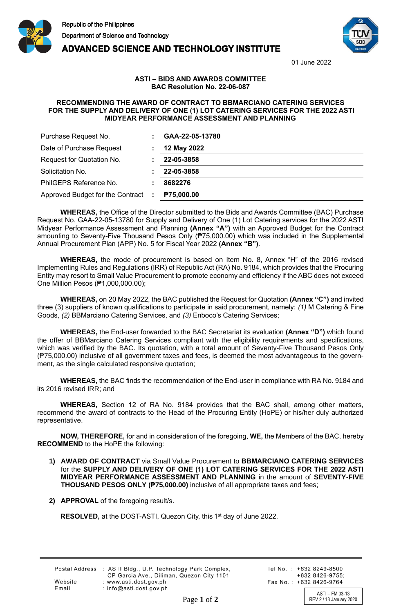





01 June 2022

## **ASTI – BIDS AND AWARDS COMMITTEE BAC Resolution No. 22-06-087**

## **RECOMMENDING THE AWARD OF CONTRACT TO BBMARCIANO CATERING SERVICES FOR THE SUPPLY AND DELIVERY OF ONE (1) LOT CATERING SERVICES FOR THE 2022 ASTI MIDYEAR PERFORMANCE ASSESSMENT AND PLANNING**

| Purchase Request No.               | GAA-22-05-13780   |
|------------------------------------|-------------------|
| Date of Purchase Request           | 12 May 2022       |
| Request for Quotation No.          | 22-05-3858        |
| Solicitation No.                   | 22-05-3858        |
| PhilGEPS Reference No.             | 8682276           |
| Approved Budget for the Contract : | <b>P75,000.00</b> |

**WHEREAS,** the Office of the Director submitted to the Bids and Awards Committee (BAC) Purchase Request No. GAA-22-05-13780 for Supply and Delivery of One (1) Lot Catering services for the 2022 ASTI Midyear Performance Assessment and Planning **(Annex "A")** with an Approved Budget for the Contract amounting to Seventy-Five Thousand Pesos Only (₱75,000.00) which was included in the Supplemental Annual Procurement Plan (APP) No. 5 for Fiscal Year 2022 **(Annex "B")**.

**WHEREAS,** the mode of procurement is based on Item No. 8, Annex "H" of the 2016 revised Implementing Rules and Regulations (IRR) of Republic Act (RA) No. 9184, which provides that the Procuring Entity may resort to Small Value Procurement to promote economy and efficiency if the ABC does not exceed One Million Pesos (₱1,000,000.00);

**WHEREAS,** on 20 May 2022, the BAC published the Request for Quotation **(Annex "C")** and invited three (3) suppliers of known qualifications to participate in said procurement, namely: *(1)* M Catering & Fine Goods, *(2)* BBMarciano Catering Services, and *(3)* Enboco's Catering Services;

**WHEREAS,** the End-user forwarded to the BAC Secretariat its evaluation **(Annex "D")** which found the offer of BBMarciano Catering Services compliant with the eligibility requirements and specifications, which was verified by the BAC. Its quotation, with a total amount of Seventy-Five Thousand Pesos Only (₱75,000.00) inclusive of all government taxes and fees, is deemed the most advantageous to the government, as the single calculated responsive quotation;

**WHEREAS,** the BAC finds the recommendation of the End-user in compliance with RA No. 9184 and its 2016 revised IRR; and

**WHEREAS,** Section 12 of RA No. 9184 provides that the BAC shall, among other matters, recommend the award of contracts to the Head of the Procuring Entity (HoPE) or his/her duly authorized representative.

**NOW, THEREFORE,** for and in consideration of the foregoing, **WE,** the Members of the BAC, hereby **RECOMMEND** to the HoPE the following:

- **1) AWARD OF CONTRACT** via Small Value Procurement to **BBMARCIANO CATERING SERVICES** for the **SUPPLY AND DELIVERY OF ONE (1) LOT CATERING SERVICES FOR THE 2022 ASTI MIDYEAR PERFORMANCE ASSESSMENT AND PLANNING** in the amount of **SEVENTY-FIVE THOUSAND PESOS ONLY (₱75,000.00)** inclusive of all appropriate taxes and fees;
- **2) APPROVAL** of the foregoing result/s.

RESOLVED, at the DOST-ASTI, Quezon City, this 1<sup>st</sup> day of June 2022.